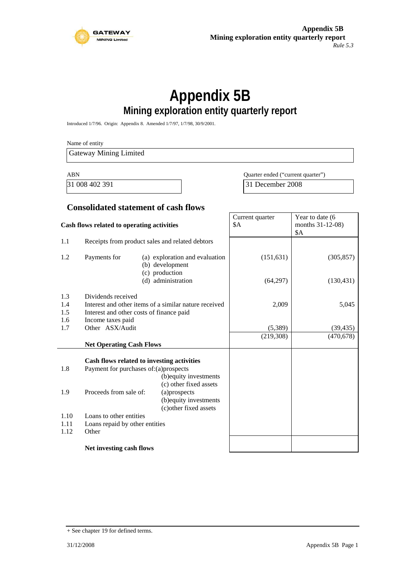

# **Appendix 5B Mining exploration entity quarterly report**

Introduced 1/7/96. Origin: Appendix 8. Amended 1/7/97, 1/7/98, 30/9/2001.

Name of entity Gateway Mining Limited ABN Quarter ended ("current quarter") 31 008 402 391 31 December 2008 **Consolidated statement of cash flows Cash flows related to operating activities**  Current quarter \$A Year to date (6) months 31-12-08) \$A 1.1 Receipts from product sales and related debtors 1.2 Payments for (a) exploration and evaluation (b) development (c) production (d) administration (151,631) (64,297) (305,857) (130,431)

|      |                                            | $(v)$ proudom<br>(d) administration                   | (64, 297) | (130, 431) |
|------|--------------------------------------------|-------------------------------------------------------|-----------|------------|
| 1.3  | Dividends received                         |                                                       |           |            |
| 1.4  |                                            | Interest and other items of a similar nature received | 2,009     | 5,045      |
| 1.5  | Interest and other costs of finance paid   |                                                       |           |            |
| 1.6  | Income taxes paid                          |                                                       |           |            |
| 1.7  | Other ASX/Audit                            |                                                       | (5,389)   | (39,435)   |
|      |                                            |                                                       | (219,308) | (470, 678) |
|      | <b>Net Operating Cash Flows</b>            |                                                       |           |            |
|      | Cash flows related to investing activities |                                                       |           |            |
| 1.8  | Payment for purchases of: (a) prospects    |                                                       |           |            |
|      |                                            | (b) equity investments<br>(c) other fixed assets      |           |            |
| 1.9  | Proceeds from sale of:                     | (a) prospects                                         |           |            |
|      |                                            | (b) equity investments                                |           |            |
|      |                                            | (c) other fixed assets                                |           |            |
| 1.10 | Loans to other entities                    |                                                       |           |            |
| 1.11 | Loans repaid by other entities             |                                                       |           |            |
| 1.12 | Other                                      |                                                       |           |            |
|      |                                            |                                                       |           |            |

#### **Net investing cash flows**

<sup>+</sup> See chapter 19 for defined terms.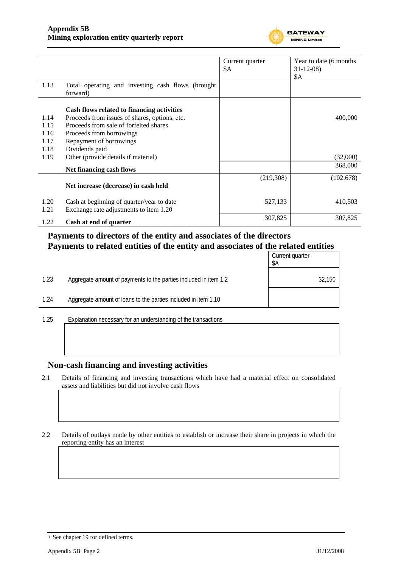

|              |                                                                                     | Current quarter | Year to date (6 months) |
|--------------|-------------------------------------------------------------------------------------|-----------------|-------------------------|
|              |                                                                                     | \$Α             | $31 - 12 - 08$          |
|              |                                                                                     |                 | \$A                     |
| 1.13         | Total operating and investing cash flows (brought<br>forward)                       |                 |                         |
|              | Cash flows related to financing activities                                          |                 |                         |
| 1.14         | Proceeds from issues of shares, options, etc.                                       |                 | 400,000                 |
| 1.15         | Proceeds from sale of forfeited shares                                              |                 |                         |
| 1.16         | Proceeds from borrowings                                                            |                 |                         |
| 1.17         | Repayment of borrowings                                                             |                 |                         |
| 1.18         | Dividends paid                                                                      |                 |                         |
| 1.19         | Other (provide details if material)                                                 |                 | (32,000)                |
|              | Net financing cash flows                                                            |                 | 368,000                 |
|              | Net increase (decrease) in cash held                                                | (219,308)       | (102, 678)              |
| 1.20<br>1.21 | Cash at beginning of quarter/year to date<br>Exchange rate adjustments to item 1.20 | 527,133         | 410,503                 |
| 1.22         | Cash at end of quarter                                                              | 307,825         | 307,825                 |

### **Payments to directors of the entity and associates of the directors Payments to related entities of the entity and associates of the related entities**

|      |                                                                  | Current quarter<br>\$Α |
|------|------------------------------------------------------------------|------------------------|
| 1.23 | Aggregate amount of payments to the parties included in item 1.2 | 32,150                 |
| 1.24 | Aggregate amount of loans to the parties included in item 1.10   |                        |
|      |                                                                  |                        |

1.25 Explanation necessary for an understanding of the transactions

#### **Non-cash financing and investing activities**

2.1 Details of financing and investing transactions which have had a material effect on consolidated assets and liabilities but did not involve cash flows

2.2 Details of outlays made by other entities to establish or increase their share in projects in which the reporting entity has an interest

<sup>+</sup> See chapter 19 for defined terms.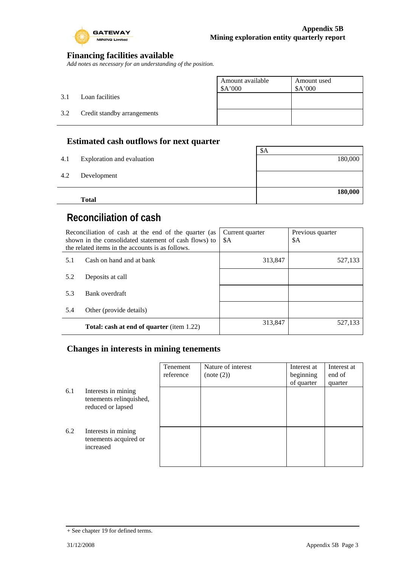

 $\overline{\phantom{a}}$ 

### **Financing facilities available**

*Add notes as necessary for an understanding of the position.* 

|     |                             | Amount available<br>\$A'000 | Amount used<br>\$A'000 |
|-----|-----------------------------|-----------------------------|------------------------|
| 3.1 | Loan facilities             |                             |                        |
| 3.2 | Credit standby arrangements |                             |                        |
|     |                             |                             |                        |

## **Estimated cash outflows for next quarter**

|     | <b>Total</b>               |         |
|-----|----------------------------|---------|
|     |                            | 180,000 |
| 4.2 | Development                |         |
| 4.1 | Exploration and evaluation | 180,000 |
|     |                            | \$A     |
|     |                            |         |

# **Reconciliation of cash**

| Reconciliation of cash at the end of the quarter (as<br>shown in the consolidated statement of cash flows) to<br>the related items in the accounts is as follows. |                                                  | Current quarter<br>\$A | Previous quarter<br>\$A |
|-------------------------------------------------------------------------------------------------------------------------------------------------------------------|--------------------------------------------------|------------------------|-------------------------|
| 5.1                                                                                                                                                               | Cash on hand and at bank                         | 313,847                | 527,133                 |
| 5.2                                                                                                                                                               | Deposits at call                                 |                        |                         |
| 5.3                                                                                                                                                               | Bank overdraft                                   |                        |                         |
| 5.4                                                                                                                                                               | Other (provide details)                          |                        |                         |
|                                                                                                                                                                   | <b>Total: cash at end of quarter</b> (item 1.22) | 313,847                | 527,133                 |

### **Changes in interests in mining tenements**

|     |                                                                     | Tenement<br>reference | Nature of interest<br>(note (2)) | Interest at<br>beginning<br>of quarter | Interest at<br>end of<br>quarter |
|-----|---------------------------------------------------------------------|-----------------------|----------------------------------|----------------------------------------|----------------------------------|
| 6.1 | Interests in mining<br>tenements relinquished,<br>reduced or lapsed |                       |                                  |                                        |                                  |
| 6.2 | Interests in mining<br>tenements acquired or<br>increased           |                       |                                  |                                        |                                  |

<sup>+</sup> See chapter 19 for defined terms.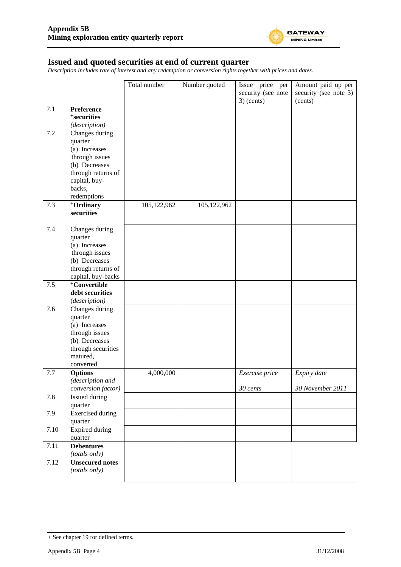

#### **Issued and quoted securities at end of current quarter**

*Description includes rate of interest and any redemption or conversion rights together with prices and dates.* 

|      |                                      | Total number | Number quoted | Issue price per                    | Amount paid up per               |
|------|--------------------------------------|--------------|---------------|------------------------------------|----------------------------------|
|      |                                      |              |               | security (see note<br>$3)$ (cents) | security (see note 3)<br>(cents) |
| 7.1  | Preference                           |              |               |                                    |                                  |
|      | <sup>+</sup> securities              |              |               |                                    |                                  |
|      | (description)                        |              |               |                                    |                                  |
| 7.2  | Changes during                       |              |               |                                    |                                  |
|      | quarter                              |              |               |                                    |                                  |
|      | (a) Increases                        |              |               |                                    |                                  |
|      | through issues                       |              |               |                                    |                                  |
|      | (b) Decreases                        |              |               |                                    |                                  |
|      | through returns of                   |              |               |                                    |                                  |
|      | capital, buy-                        |              |               |                                    |                                  |
|      | backs,                               |              |               |                                    |                                  |
| 7.3  | redemptions<br><sup>+</sup> Ordinary | 105,122,962  | 105,122,962   |                                    |                                  |
|      | securities                           |              |               |                                    |                                  |
|      |                                      |              |               |                                    |                                  |
| 7.4  | Changes during                       |              |               |                                    |                                  |
|      | quarter                              |              |               |                                    |                                  |
|      | (a) Increases                        |              |               |                                    |                                  |
|      | through issues<br>(b) Decreases      |              |               |                                    |                                  |
|      | through returns of                   |              |               |                                    |                                  |
|      | capital, buy-backs                   |              |               |                                    |                                  |
| 7.5  | <sup>+</sup> Convertible             |              |               |                                    |                                  |
|      | debt securities                      |              |               |                                    |                                  |
|      | (description)                        |              |               |                                    |                                  |
| 7.6  | Changes during                       |              |               |                                    |                                  |
|      | quarter                              |              |               |                                    |                                  |
|      | (a) Increases                        |              |               |                                    |                                  |
|      | through issues<br>(b) Decreases      |              |               |                                    |                                  |
|      | through securities                   |              |               |                                    |                                  |
|      | matured,                             |              |               |                                    |                                  |
|      | converted                            |              |               |                                    |                                  |
| 7.7  | <b>Options</b>                       | 4,000,000    |               | Exercise price                     | Expiry date                      |
|      | (description and                     |              |               |                                    |                                  |
|      | conversion factor)                   |              |               | $30$ cents                         | 30 November 2011                 |
| 7.8  | Issued during                        |              |               |                                    |                                  |
|      | quarter                              |              |               |                                    |                                  |
| 7.9  | <b>Exercised</b> during<br>quarter   |              |               |                                    |                                  |
| 7.10 | Expired during                       |              |               |                                    |                                  |
|      | quarter                              |              |               |                                    |                                  |
| 7.11 | <b>Debentures</b>                    |              |               |                                    |                                  |
|      | (totals only)                        |              |               |                                    |                                  |
| 7.12 | <b>Unsecured notes</b>               |              |               |                                    |                                  |
|      | (totals only)                        |              |               |                                    |                                  |
|      |                                      |              |               |                                    |                                  |

<sup>+</sup> See chapter 19 for defined terms.